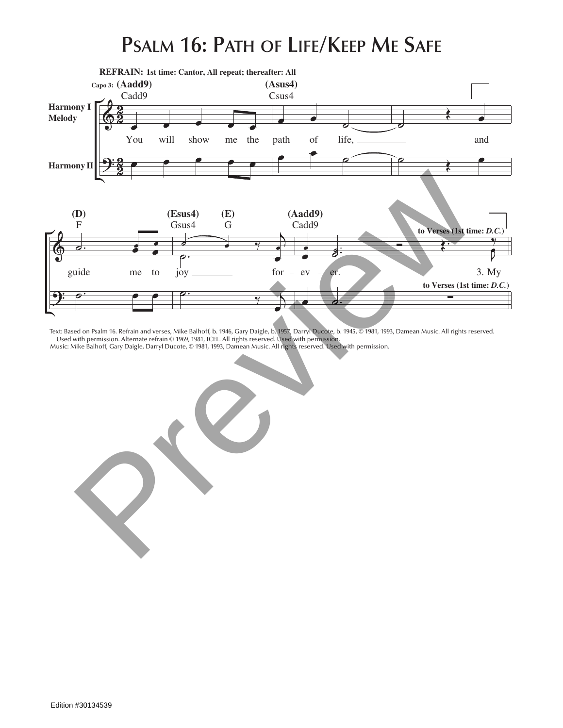## **Psalm 16: Path of Life/Keep Me Safe**



Text: Based on Psalm 16. Refrain and verses, Mike Balhoff, b. 1946, Gary Daigle, b. 1957, Darryl Ducote, b. 1945, © 1981, 1993, Damean Music. All rights reserved. Used with permission. Alternate refrain © 1969, 1981, ICEL. All rights reserved. Used with permission.

O God;

B 6/C **(G6/A)**

**1st time: Cantor, All repeat; thereafter: All**

safe,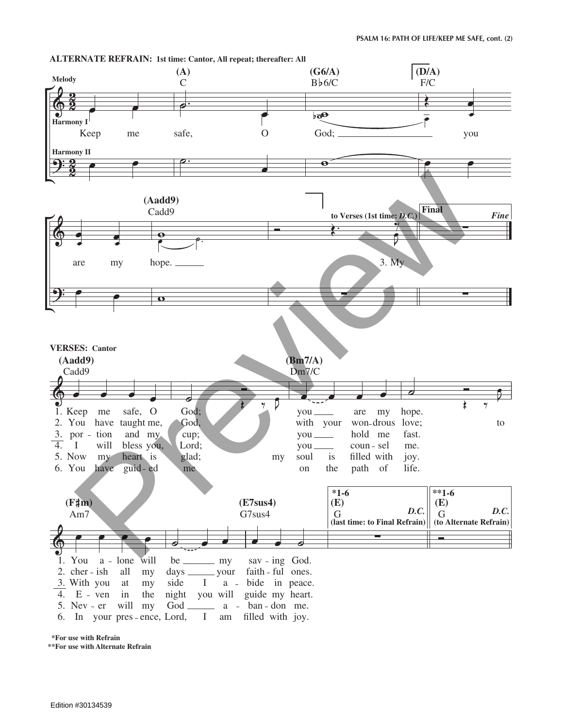

 **\*For use with Refrain**

**<sup>\*\*</sup>For use with Alternate Refrain**